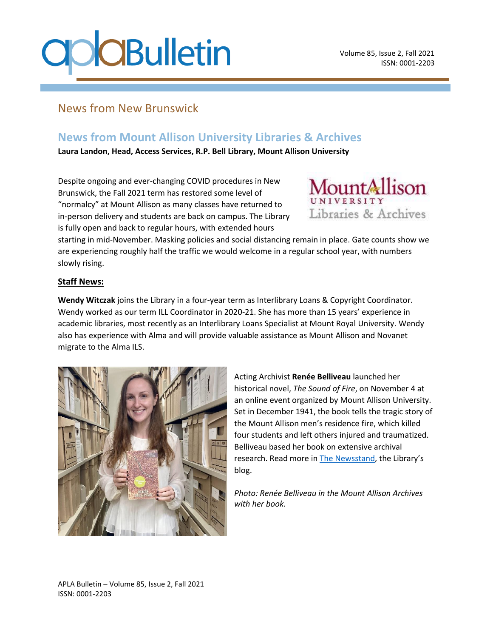# **OCBulletin**

### News from New Brunswick

### **News from Mount Allison University Libraries & Archives**

**Laura Landon, Head, Access Services, R.P. Bell Library, Mount Allison University**

Despite ongoing and ever-changing COVID procedures in New Brunswick, the Fall 2021 term has restored some level of "normalcy" at Mount Allison as many classes have returned to in-person delivery and students are back on campus. The Library is fully open and back to regular hours, with extended hours



starting in mid-November. Masking policies and social distancing remain in place. Gate counts show we are experiencing roughly half the traffic we would welcome in a regular school year, with numbers slowly rising.

#### **Staff News:**

**Wendy Witczak** joins the Library in a four-year term as Interlibrary Loans & Copyright Coordinator. Wendy worked as our term ILL Coordinator in 2020-21. She has more than 15 years' experience in academic libraries, most recently as an Interlibrary Loans Specialist at Mount Royal University. Wendy also has experience with Alma and will provide valuable assistance as Mount Allison and Novanet migrate to the Alma ILS.



Acting Archivist **Renée Belliveau** launched her historical novel, *The Sound of Fire*, on November 4 at an online event organized by Mount Allison University. Set in December 1941, the book tells the tragic story of the Mount Allison men's residence fire, which killed four students and left others injured and traumatized. Belliveau based her book on extensive archival research. Read more in [The Newsstand](https://libraryguides.mta.ca/blog/Archivists-novel-captures-Mount-Allison-fire-of-1941-highlights-archival-treasure-trove), the Library's blog.

*Photo: Renée Belliveau in the Mount Allison Archives with her book.*